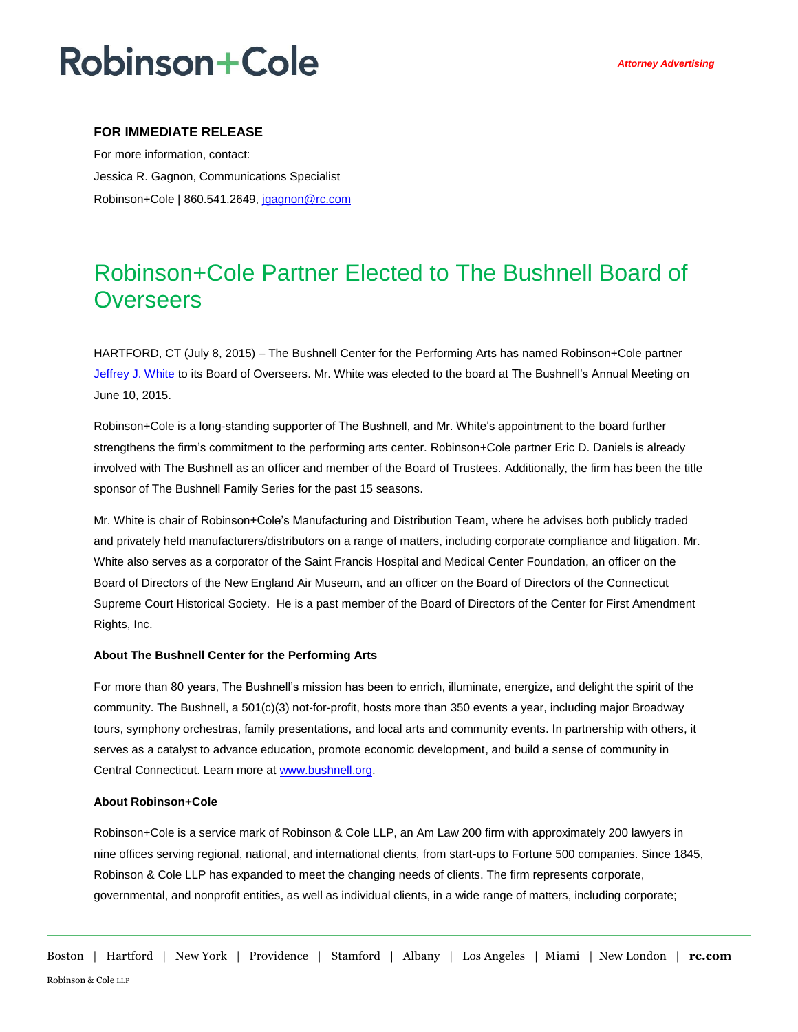## **Robinson+Cole**

#### **FOR IMMEDIATE RELEASE**

For more information, contact: Jessica R. Gagnon, Communications Specialist Robinson+Cole | 860.541.2649, [jgagnon@rc.com](mailto:jgagnon@rc.com)

### Robinson+Cole Partner Elected to The Bushnell Board of **Overseers**

HARTFORD, CT (July 8, 2015) – The Bushnell Center for the Performing Arts has named Robinson+Cole partner [Jeffrey J. White](http://www.rc.com/people/JeffreyJWhite.cfm) to its Board of Overseers. Mr. White was elected to the board at The Bushnell's Annual Meeting on June 10, 2015.

Robinson+Cole is a long-standing supporter of The Bushnell, and Mr. White's appointment to the board further strengthens the firm's commitment to the performing arts center. Robinson+Cole partner Eric D. Daniels is already involved with The Bushnell as an officer and member of the Board of Trustees. Additionally, the firm has been the title sponsor of The Bushnell Family Series for the past 15 seasons.

Mr. White is chair of Robinson+Cole's Manufacturing and Distribution Team, where he advises both publicly traded and privately held manufacturers/distributors on a range of matters, including corporate compliance and litigation. Mr. White also serves as a corporator of the Saint Francis Hospital and Medical Center Foundation, an officer on the Board of Directors of the New England Air Museum, and an officer on the Board of Directors of the Connecticut Supreme Court Historical Society. He is a past member of the Board of Directors of the Center for First Amendment Rights, Inc.

#### **About The Bushnell Center for the Performing Arts**

For more than 80 years, The Bushnell's mission has been to enrich, illuminate, energize, and delight the spirit of the community. The Bushnell, a 501(c)(3) not-for-profit, hosts more than 350 events a year, including major Broadway tours, symphony orchestras, family presentations, and local arts and community events. In partnership with others, it serves as a catalyst to advance education, promote economic development, and build a sense of community in Central Connecticut. Learn more a[t www.bushnell.org.](http://www.bushnell.org/)

#### **About Robinson+Cole**

Robinson+Cole is a service mark of Robinson & Cole LLP, an Am Law 200 firm with approximately 200 lawyers in nine offices serving regional, national, and international clients, from start-ups to Fortune 500 companies. Since 1845, Robinson & Cole LLP has expanded to meet the changing needs of clients. The firm represents corporate, governmental, and nonprofit entities, as well as individual clients, in a wide range of matters, including corporate;

Boston | Hartford | New York | Providence | Stamford | Albany | Los Angeles | Miami | New London | **rc.com** Robinson & Cole LLP